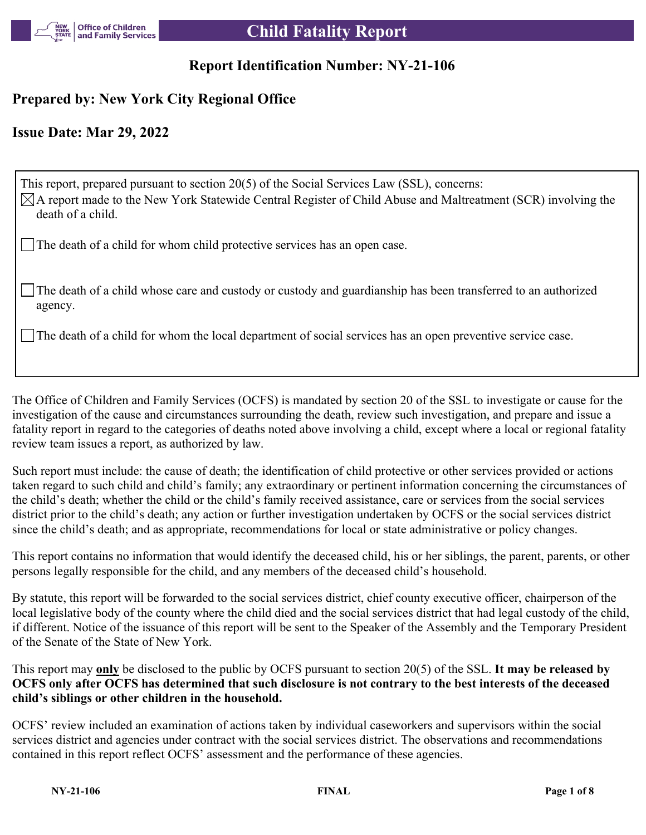

# **Report Identification Number: NY-21-106**

# **Prepared by: New York City Regional Office**

# **Issue Date: Mar 29, 2022**

This report, prepared pursuant to section 20(5) of the Social Services Law (SSL), concerns:  $\boxtimes$ A report made to the New York Statewide Central Register of Child Abuse and Maltreatment (SCR) involving the death of a child.

The death of a child for whom child protective services has an open case.

The death of a child whose care and custody or custody and guardianship has been transferred to an authorized agency.

The death of a child for whom the local department of social services has an open preventive service case.

The Office of Children and Family Services (OCFS) is mandated by section 20 of the SSL to investigate or cause for the investigation of the cause and circumstances surrounding the death, review such investigation, and prepare and issue a fatality report in regard to the categories of deaths noted above involving a child, except where a local or regional fatality review team issues a report, as authorized by law.

Such report must include: the cause of death; the identification of child protective or other services provided or actions taken regard to such child and child's family; any extraordinary or pertinent information concerning the circumstances of the child's death; whether the child or the child's family received assistance, care or services from the social services district prior to the child's death; any action or further investigation undertaken by OCFS or the social services district since the child's death; and as appropriate, recommendations for local or state administrative or policy changes.

This report contains no information that would identify the deceased child, his or her siblings, the parent, parents, or other persons legally responsible for the child, and any members of the deceased child's household.

By statute, this report will be forwarded to the social services district, chief county executive officer, chairperson of the local legislative body of the county where the child died and the social services district that had legal custody of the child, if different. Notice of the issuance of this report will be sent to the Speaker of the Assembly and the Temporary President of the Senate of the State of New York.

This report may **only** be disclosed to the public by OCFS pursuant to section 20(5) of the SSL. **It may be released by OCFS only after OCFS has determined that such disclosure is not contrary to the best interests of the deceased child's siblings or other children in the household.**

OCFS' review included an examination of actions taken by individual caseworkers and supervisors within the social services district and agencies under contract with the social services district. The observations and recommendations contained in this report reflect OCFS' assessment and the performance of these agencies.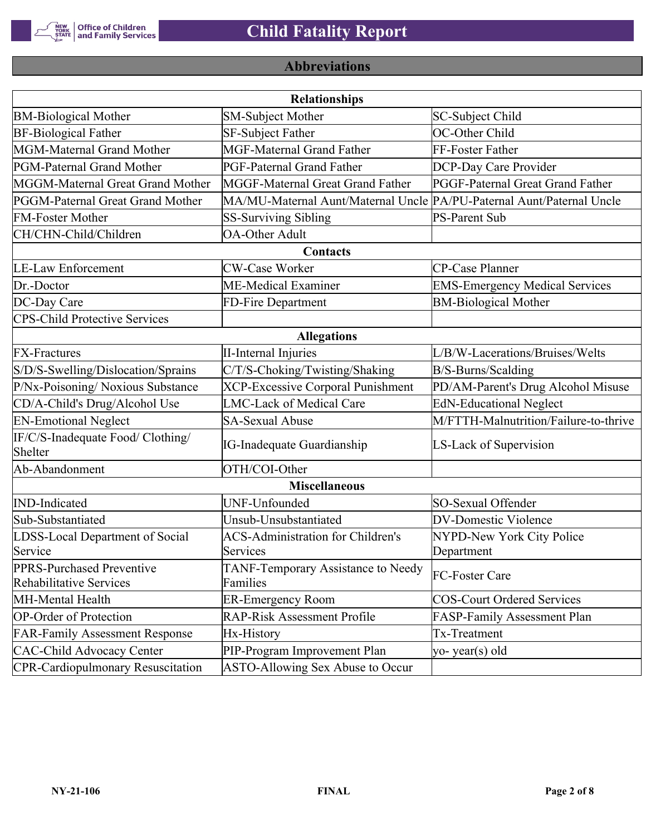

# **Abbreviations**

|                                                      | <b>Relationships</b>                                                  |                                       |
|------------------------------------------------------|-----------------------------------------------------------------------|---------------------------------------|
| <b>BM-Biological Mother</b>                          | <b>SM-Subject Mother</b>                                              | SC-Subject Child                      |
| <b>BF-Biological Father</b>                          | SF-Subject Father                                                     | OC-Other Child                        |
| MGM-Maternal Grand Mother                            | <b>MGF-Maternal Grand Father</b>                                      | FF-Foster Father                      |
| PGM-Paternal Grand Mother                            | PGF-Paternal Grand Father                                             | DCP-Day Care Provider                 |
| MGGM-Maternal Great Grand Mother                     | MGGF-Maternal Great Grand Father                                      | PGGF-Paternal Great Grand Father      |
| PGGM-Paternal Great Grand Mother                     | MA/MU-Maternal Aunt/Maternal Uncle PA/PU-Paternal Aunt/Paternal Uncle |                                       |
| <b>FM-Foster Mother</b>                              | <b>SS-Surviving Sibling</b>                                           | <b>PS-Parent Sub</b>                  |
| CH/CHN-Child/Children                                | <b>OA-Other Adult</b>                                                 |                                       |
|                                                      | Contacts                                                              |                                       |
| <b>LE-Law Enforcement</b>                            | <b>CW-Case Worker</b>                                                 | CP-Case Planner                       |
| Dr.-Doctor                                           | ME-Medical Examiner                                                   | <b>EMS-Emergency Medical Services</b> |
| DC-Day Care                                          | FD-Fire Department                                                    | <b>BM-Biological Mother</b>           |
| <b>CPS-Child Protective Services</b>                 |                                                                       |                                       |
|                                                      | <b>Allegations</b>                                                    |                                       |
| <b>FX-Fractures</b>                                  | <b>II-Internal Injuries</b>                                           | L/B/W-Lacerations/Bruises/Welts       |
| S/D/S-Swelling/Dislocation/Sprains                   | C/T/S-Choking/Twisting/Shaking                                        | B/S-Burns/Scalding                    |
| P/Nx-Poisoning/ Noxious Substance                    | <b>XCP-Excessive Corporal Punishment</b>                              | PD/AM-Parent's Drug Alcohol Misuse    |
| CD/A-Child's Drug/Alcohol Use                        | <b>LMC-Lack of Medical Care</b>                                       | <b>EdN-Educational Neglect</b>        |
| <b>EN-Emotional Neglect</b>                          | <b>SA-Sexual Abuse</b>                                                | M/FTTH-Malnutrition/Failure-to-thrive |
| IF/C/S-Inadequate Food/ Clothing/<br>Shelter         | <b>IG-Inadequate Guardianship</b>                                     | LS-Lack of Supervision                |
| Ab-Abandonment                                       | OTH/COI-Other                                                         |                                       |
|                                                      | <b>Miscellaneous</b>                                                  |                                       |
| <b>IND-Indicated</b>                                 | UNF-Unfounded                                                         | SO-Sexual Offender                    |
| Sub-Substantiated                                    | Unsub-Unsubstantiated                                                 | <b>DV-Domestic Violence</b>           |
| LDSS-Local Department of Social                      | <b>ACS-Administration for Children's</b>                              | NYPD-New York City Police             |
| Service                                              | Services                                                              | Department                            |
| PPRS-Purchased Preventive<br>Rehabilitative Services | TANF-Temporary Assistance to Needy<br>Families                        | FC-Foster Care                        |
| MH-Mental Health                                     | <b>ER-Emergency Room</b>                                              | <b>COS-Court Ordered Services</b>     |
| <b>OP-Order of Protection</b>                        | <b>RAP-Risk Assessment Profile</b>                                    | FASP-Family Assessment Plan           |
| <b>FAR-Family Assessment Response</b>                | Hx-History                                                            | Tx-Treatment                          |
| <b>CAC-Child Advocacy Center</b>                     | PIP-Program Improvement Plan                                          | yo-year(s) old                        |
| <b>CPR-Cardiopulmonary Resuscitation</b>             | ASTO-Allowing Sex Abuse to Occur                                      |                                       |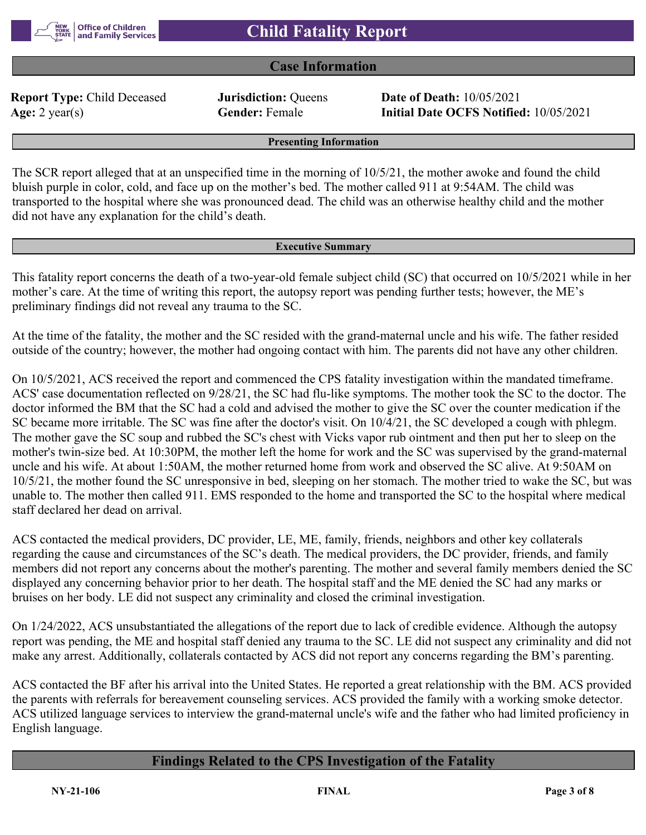

## **Case Information**

**Report Type:** Child Deceased **Jurisdiction:** Queens **Date of Death:** 10/05/2021

**Age:** 2 year(s) **Gender:** Female **Initial Date OCFS Notified:** 10/05/2021

**Presenting Information**

The SCR report alleged that at an unspecified time in the morning of 10/5/21, the mother awoke and found the child bluish purple in color, cold, and face up on the mother's bed. The mother called 911 at 9:54AM. The child was transported to the hospital where she was pronounced dead. The child was an otherwise healthy child and the mother did not have any explanation for the child's death.

#### **Executive Summary**

This fatality report concerns the death of a two-year-old female subject child (SC) that occurred on 10/5/2021 while in her mother's care. At the time of writing this report, the autopsy report was pending further tests; however, the ME's preliminary findings did not reveal any trauma to the SC.

At the time of the fatality, the mother and the SC resided with the grand-maternal uncle and his wife. The father resided outside of the country; however, the mother had ongoing contact with him. The parents did not have any other children.

On 10/5/2021, ACS received the report and commenced the CPS fatality investigation within the mandated timeframe. ACS' case documentation reflected on 9/28/21, the SC had flu-like symptoms. The mother took the SC to the doctor. The doctor informed the BM that the SC had a cold and advised the mother to give the SC over the counter medication if the SC became more irritable. The SC was fine after the doctor's visit. On 10/4/21, the SC developed a cough with phlegm. The mother gave the SC soup and rubbed the SC's chest with Vicks vapor rub ointment and then put her to sleep on the mother's twin-size bed. At 10:30PM, the mother left the home for work and the SC was supervised by the grand-maternal uncle and his wife. At about 1:50AM, the mother returned home from work and observed the SC alive. At 9:50AM on 10/5/21, the mother found the SC unresponsive in bed, sleeping on her stomach. The mother tried to wake the SC, but was unable to. The mother then called 911. EMS responded to the home and transported the SC to the hospital where medical staff declared her dead on arrival.

ACS contacted the medical providers, DC provider, LE, ME, family, friends, neighbors and other key collaterals regarding the cause and circumstances of the SC's death. The medical providers, the DC provider, friends, and family members did not report any concerns about the mother's parenting. The mother and several family members denied the SC displayed any concerning behavior prior to her death. The hospital staff and the ME denied the SC had any marks or bruises on her body. LE did not suspect any criminality and closed the criminal investigation.

On 1/24/2022, ACS unsubstantiated the allegations of the report due to lack of credible evidence. Although the autopsy report was pending, the ME and hospital staff denied any trauma to the SC. LE did not suspect any criminality and did not make any arrest. Additionally, collaterals contacted by ACS did not report any concerns regarding the BM's parenting.

ACS contacted the BF after his arrival into the United States. He reported a great relationship with the BM. ACS provided the parents with referrals for bereavement counseling services. ACS provided the family with a working smoke detector. ACS utilized language services to interview the grand-maternal uncle's wife and the father who had limited proficiency in English language.

# **Findings Related to the CPS Investigation of the Fatality**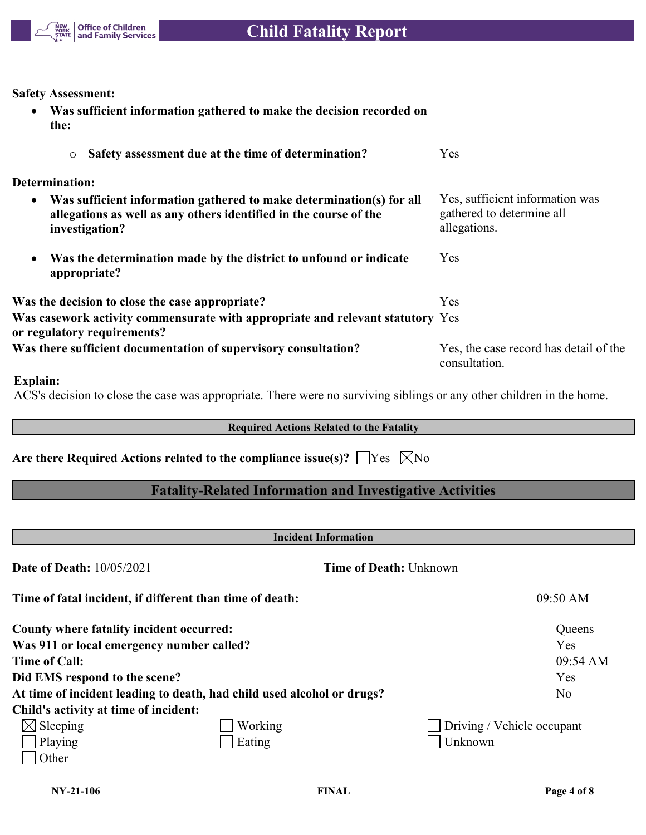

**Safety Assessment:**

| $\bullet$ | Was sufficient information gathered to make the decision recorded on<br>the:                                                                                |                                                                              |
|-----------|-------------------------------------------------------------------------------------------------------------------------------------------------------------|------------------------------------------------------------------------------|
|           | Safety assessment due at the time of determination?<br>$\circ$                                                                                              | Yes                                                                          |
|           | <b>Determination:</b>                                                                                                                                       |                                                                              |
| $\bullet$ | Was sufficient information gathered to make determination(s) for all<br>allegations as well as any others identified in the course of the<br>investigation? | Yes, sufficient information was<br>gathered to determine all<br>allegations. |
| ٠         | Was the determination made by the district to unfound or indicate<br>appropriate?                                                                           | Yes                                                                          |
|           | Was the decision to close the case appropriate?                                                                                                             | Yes                                                                          |
|           | Was casework activity commensurate with appropriate and relevant statutory Yes<br>or regulatory requirements?                                               |                                                                              |
|           | Was there sufficient documentation of supervisory consultation?                                                                                             | Yes, the case record has detail of the<br>consultation.                      |

## **Explain:**

ACS's decision to close the case was appropriate. There were no surviving siblings or any other children in the home.

## **Required Actions Related to the Fatality**

Are there Required Actions related to the compliance issue(s)?  $\Box$  Yes  $\Box$  No

# **Fatality-Related Information and Investigative Activities**

| <b>Incident Information</b>               |                                                                        |                               |  |  |  |
|-------------------------------------------|------------------------------------------------------------------------|-------------------------------|--|--|--|
| <b>Date of Death: 10/05/2021</b>          |                                                                        | <b>Time of Death: Unknown</b> |  |  |  |
|                                           | Time of fatal incident, if different than time of death:               | 09:50 AM                      |  |  |  |
| County where fatality incident occurred:  |                                                                        | Queens                        |  |  |  |
| Was 911 or local emergency number called? |                                                                        | Yes                           |  |  |  |
| <b>Time of Call:</b>                      |                                                                        | 09:54 AM                      |  |  |  |
| Did EMS respond to the scene?             |                                                                        | Yes                           |  |  |  |
|                                           | At time of incident leading to death, had child used alcohol or drugs? | N <sub>o</sub>                |  |  |  |
| Child's activity at time of incident:     |                                                                        |                               |  |  |  |
| $\boxtimes$ Sleeping                      | Working                                                                | Driving / Vehicle occupant    |  |  |  |
| Playing                                   | Eating                                                                 | Unknown                       |  |  |  |
| Other                                     |                                                                        |                               |  |  |  |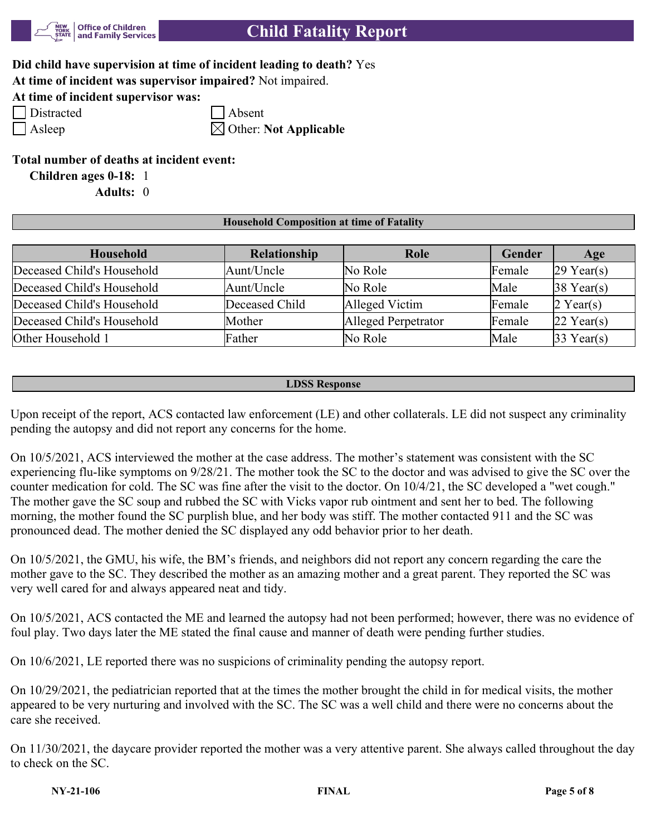

| Did child have supervision at time of incident leading to death? Yes |  |
|----------------------------------------------------------------------|--|
|----------------------------------------------------------------------|--|

**At time of incident was supervisor impaired?** Not impaired.

**At time of incident supervisor was:**

Distracted Absent

Asleep  $\boxtimes$  Other: **Not Applicable** 

**Total number of deaths at incident event:**

**Children ages 0-18:** 1

**Adults:** 0

## **Household Composition at time of Fatality**

| Household                  | Relationship   | Role                | <b>Gender</b> | Age                    |
|----------------------------|----------------|---------------------|---------------|------------------------|
| Deceased Child's Household | Aunt/Uncle     | No Role             | Female        | $29$ Year(s)           |
| Deceased Child's Household | Aunt/Uncle     | No Role             | Male          | $38$ Year(s)           |
| Deceased Child's Household | Deceased Child | Alleged Victim      | Female        | $2$ Year(s)            |
| Deceased Child's Household | Mother         | Alleged Perpetrator | Female        | $ 22 \text{ Year}(s) $ |
| Other Household 1          | Father         | No Role             | Male          | $33$ Year(s)           |

### **LDSS Response**

Upon receipt of the report, ACS contacted law enforcement (LE) and other collaterals. LE did not suspect any criminality pending the autopsy and did not report any concerns for the home.

On 10/5/2021, ACS interviewed the mother at the case address. The mother's statement was consistent with the SC experiencing flu-like symptoms on 9/28/21. The mother took the SC to the doctor and was advised to give the SC over the counter medication for cold. The SC was fine after the visit to the doctor. On 10/4/21, the SC developed a "wet cough." The mother gave the SC soup and rubbed the SC with Vicks vapor rub ointment and sent her to bed. The following morning, the mother found the SC purplish blue, and her body was stiff. The mother contacted 911 and the SC was pronounced dead. The mother denied the SC displayed any odd behavior prior to her death.

On 10/5/2021, the GMU, his wife, the BM's friends, and neighbors did not report any concern regarding the care the mother gave to the SC. They described the mother as an amazing mother and a great parent. They reported the SC was very well cared for and always appeared neat and tidy.

On 10/5/2021, ACS contacted the ME and learned the autopsy had not been performed; however, there was no evidence of foul play. Two days later the ME stated the final cause and manner of death were pending further studies.

On 10/6/2021, LE reported there was no suspicions of criminality pending the autopsy report.

On 10/29/2021, the pediatrician reported that at the times the mother brought the child in for medical visits, the mother appeared to be very nurturing and involved with the SC. The SC was a well child and there were no concerns about the care she received.

On 11/30/2021, the daycare provider reported the mother was a very attentive parent. She always called throughout the day to check on the SC.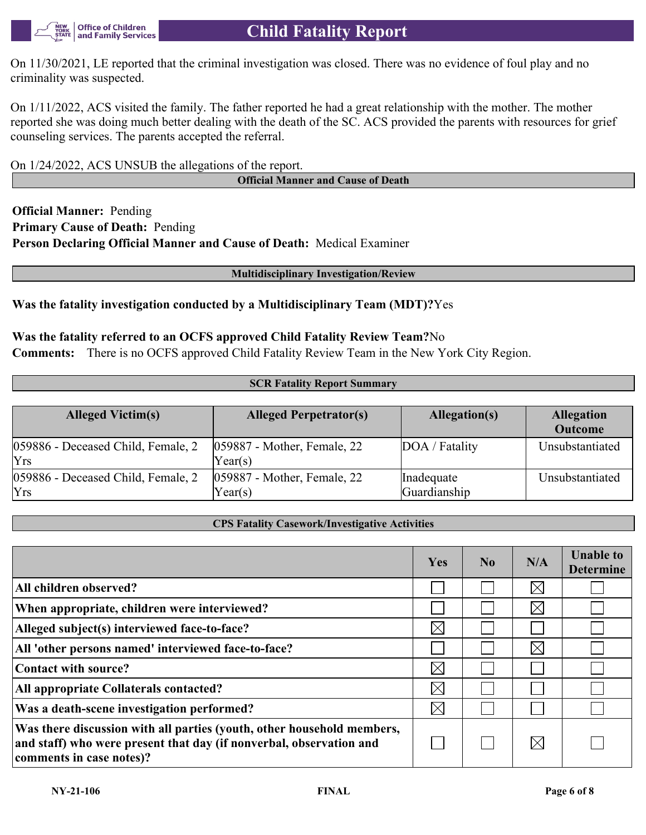

# **Child Fatality Report**

On 11/30/2021, LE reported that the criminal investigation was closed. There was no evidence of foul play and no criminality was suspected.

On 1/11/2022, ACS visited the family. The father reported he had a great relationship with the mother. The mother reported she was doing much better dealing with the death of the SC. ACS provided the parents with resources for grief counseling services. The parents accepted the referral.

On 1/24/2022, ACS UNSUB the allegations of the report.

**Official Manner and Cause of Death**

**Official Manner:** Pending **Primary Cause of Death:** Pending **Person Declaring Official Manner and Cause of Death:** Medical Examiner

#### **Multidisciplinary Investigation/Review**

## **Was the fatality investigation conducted by a Multidisciplinary Team (MDT)?**Yes

### **Was the fatality referred to an OCFS approved Child Fatality Review Team?**No

**Comments:** There is no OCFS approved Child Fatality Review Team in the New York City Region.

#### **SCR Fatality Report Summary**

| <b>Alleged Victim(s)</b>                         | <b>Alleged Perpetrator(s)</b>              | Allegation(s)              | <b>Allegation</b><br><b>Outcome</b> |
|--------------------------------------------------|--------------------------------------------|----------------------------|-------------------------------------|
| 059886 - Deceased Child, Female, 2<br><b>Yrs</b> | $ 059887$ - Mother, Female, 22<br>Year(s)  | DOA / Fatality             | Unsubstantiated                     |
| 059886 - Deceased Child, Female, 2<br><b>Yrs</b> | $ 059887 - Mother$ , Female, 22<br>Year(s) | Inadequate<br>Guardianship | Unsubstantiated                     |

#### **CPS Fatality Casework/Investigative Activities**

|                                                                                                                                                                           | Yes         | $\bf No$ | N/A         | <b>Unable to</b><br><b>Determine</b> |
|---------------------------------------------------------------------------------------------------------------------------------------------------------------------------|-------------|----------|-------------|--------------------------------------|
| All children observed?                                                                                                                                                    |             |          | $\times$    |                                      |
| When appropriate, children were interviewed?                                                                                                                              |             |          | $\boxtimes$ |                                      |
| Alleged subject(s) interviewed face-to-face?                                                                                                                              | $\times$    |          |             |                                      |
| All 'other persons named' interviewed face-to-face?                                                                                                                       |             |          | $\times$    |                                      |
| Contact with source?                                                                                                                                                      | $\times$    |          |             |                                      |
| All appropriate Collaterals contacted?                                                                                                                                    | $\times$    |          |             |                                      |
| Was a death-scene investigation performed?                                                                                                                                | $\boxtimes$ |          |             |                                      |
| Was there discussion with all parties (youth, other household members,<br>and staff) who were present that day (if nonverbal, observation and<br>comments in case notes)? |             |          | $\boxtimes$ |                                      |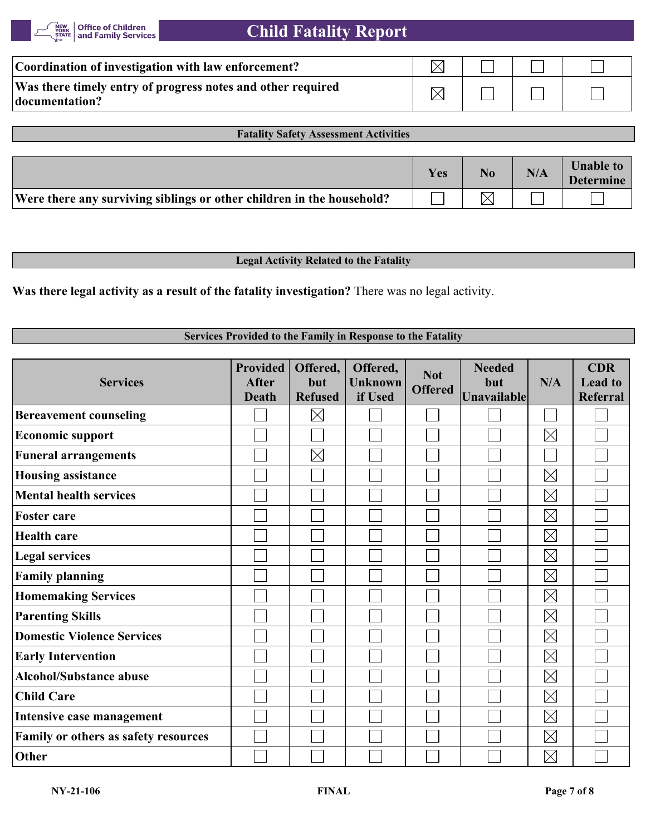| Coordination of investigation with law enforcement?                           |  |  |
|-------------------------------------------------------------------------------|--|--|
| Was there timely entry of progress notes and other required<br>documentation? |  |  |

## **Fatality Safety Assessment Activities**

|                                                                       | <b>Yes</b> | N/A | <b>Unable to</b><br><b>Determine</b> |
|-----------------------------------------------------------------------|------------|-----|--------------------------------------|
| Were there any surviving siblings or other children in the household? |            |     |                                      |

### **Legal Activity Related to the Fatality**

**Was there legal activity as a result of the fatality investigation?** There was no legal activity.

## **Services Provided to the Family in Response to the Fatality**

| <b>Services</b>                      | <b>Provided</b><br><b>After</b><br><b>Death</b> | Offered,<br>but<br><b>Refused</b> | Offered,<br><b>Unknown</b><br>if Used | <b>Not</b><br><b>Offered</b> | <b>Needed</b><br>but<br><b>Unavailable</b> | N/A         | <b>CDR</b><br><b>Lead to</b><br>Referral |
|--------------------------------------|-------------------------------------------------|-----------------------------------|---------------------------------------|------------------------------|--------------------------------------------|-------------|------------------------------------------|
| <b>Bereavement counseling</b>        |                                                 | $\boxtimes$                       |                                       |                              |                                            |             |                                          |
| <b>Economic support</b>              |                                                 |                                   |                                       |                              |                                            | $\boxtimes$ |                                          |
| <b>Funeral arrangements</b>          |                                                 | $\times$                          |                                       |                              |                                            |             |                                          |
| <b>Housing assistance</b>            |                                                 |                                   |                                       |                              |                                            | $\boxtimes$ |                                          |
| <b>Mental health services</b>        |                                                 |                                   |                                       |                              |                                            | $\boxtimes$ |                                          |
| <b>Foster care</b>                   |                                                 |                                   |                                       |                              |                                            | $\boxtimes$ |                                          |
| <b>Health care</b>                   |                                                 |                                   |                                       |                              |                                            | $\boxtimes$ |                                          |
| <b>Legal services</b>                |                                                 |                                   |                                       |                              |                                            | $\boxtimes$ |                                          |
| <b>Family planning</b>               |                                                 |                                   |                                       |                              |                                            | $\boxtimes$ |                                          |
| <b>Homemaking Services</b>           |                                                 |                                   |                                       |                              |                                            | $\boxtimes$ |                                          |
| <b>Parenting Skills</b>              |                                                 |                                   |                                       |                              |                                            | $\boxtimes$ |                                          |
| <b>Domestic Violence Services</b>    |                                                 |                                   |                                       |                              |                                            | $\boxtimes$ |                                          |
| <b>Early Intervention</b>            |                                                 |                                   |                                       |                              |                                            | $\boxtimes$ |                                          |
| <b>Alcohol/Substance abuse</b>       |                                                 |                                   |                                       |                              |                                            | $\boxtimes$ |                                          |
| <b>Child Care</b>                    |                                                 |                                   |                                       |                              |                                            | $\boxtimes$ |                                          |
| Intensive case management            |                                                 |                                   |                                       |                              |                                            | $\boxtimes$ |                                          |
| Family or others as safety resources |                                                 |                                   |                                       |                              |                                            | $\boxtimes$ |                                          |
| Other                                |                                                 |                                   |                                       |                              |                                            | $\boxtimes$ |                                          |